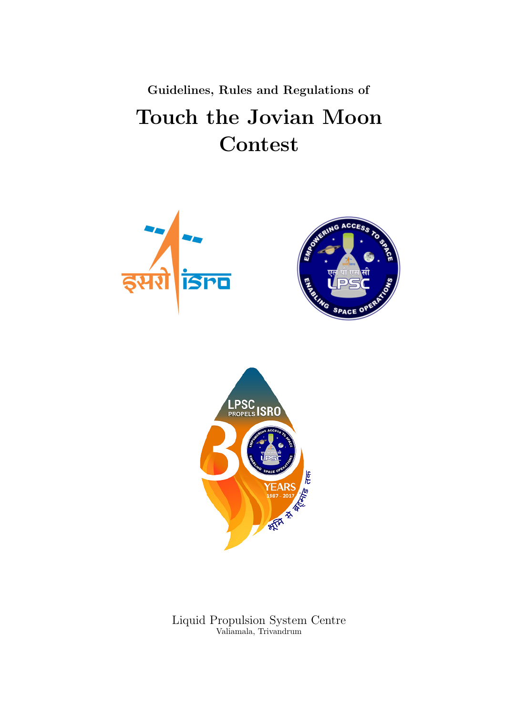Guidelines, Rules and Regulations of Touch the Jovian Moon Contest







Liquid Propulsion System Centre Valiamala, Trivandrum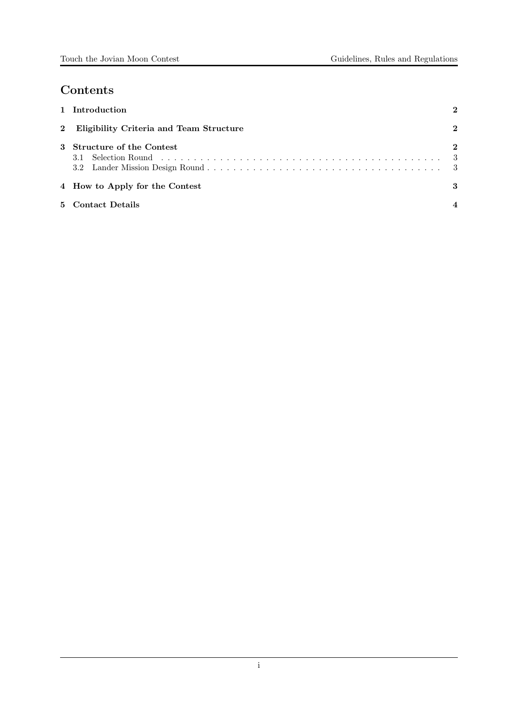# Contents

|                                           | 1 Introduction                 | 2        |  |  |
|-------------------------------------------|--------------------------------|----------|--|--|
| 2 Eligibility Criteria and Team Structure |                                |          |  |  |
|                                           | 3 Structure of the Contest     | $\bf{2}$ |  |  |
|                                           | 4 How to Apply for the Contest | 3        |  |  |
|                                           | 5 Contact Details              |          |  |  |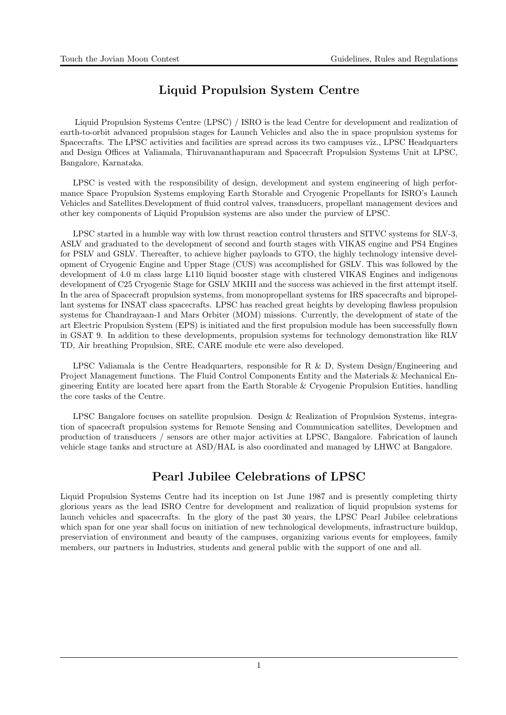## Liquid Propulsion System Centre

Liquid Propulsion Systems Centre (LPSC) / ISRO is the lead Centre for development and realization of earth-to-orbit advanced propulsion stages for Launch Vehicles and also the in space propulsion systems for Spacecrafts. The LPSC activities and facilities are spread across its two campuses viz., LPSC Headquarters and Design Offices at Valiamala, Thiruvananthapuram and Spacecraft Propulsion Systems Unit at LPSC, Bangalore, Karnataka.

LPSC is vested with the responsibility of design, development and system engineering of high performance Space Propulsion Systems employing Earth Storable and Cryogenic Propellants for ISRO's Launch Vehicles and Satellites.Development of fluid control valves, transducers, propellant management devices and other key components of Liquid Propulsion systems are also under the purview of LPSC.

LPSC started in a humble way with low thrust reaction control thrusters and SITVC systems for SLV-3, ASLV and graduated to the development of second and fourth stages with VIKAS engine and PS4 Engines for PSLV and GSLV. Thereafter, to achieve higher payloads to GTO, the highly technology intensive development of Cryogenic Engine and Upper Stage (CUS) was accomplished for GSLV. This was followed by the development of 4.0 m class large L110 liquid booster stage with clustered VIKAS Engines and indigenous development of C25 Cryogenic Stage for GSLV MKIII and the success was achieved in the first attempt itself. In the area of Spacecraft propulsion systems, from monopropellant systems for IRS spacecrafts and bipropellant systems for INSAT class spacecrafts. LPSC has reached great heights by developing flawless propulsion systems for Chandrayaan-1 and Mars Orbiter (MOM) missions. Currently, the development of state of the art Electric Propulsion System (EPS) is initiated and the first propulsion module has been successfully flown in GSAT 9. In addition to these developments, propulsion systems for technology demonstration like RLV TD, Air breathing Propulsion, SRE, CARE module etc were also developed.

LPSC Valiamala is the Centre Headquarters, responsible for R  $\&$  D, System Design/Engineering and Project Management functions. The Fluid Control Components Entity and the Materials & Mechanical Engineering Entity are located here apart from the Earth Storable & Cryogenic Propulsion Entities, handling the core tasks of the Centre.

LPSC Bangalore focuses on satellite propulsion. Design & Realization of Propulsion Systems, integration of spacecraft propulsion systems for Remote Sensing and Communication satellites, Developmen and production of transducers / sensors are other major activities at LPSC, Bangalore. Fabrication of launch vehicle stage tanks and structure at ASD/HAL is also coordinated and managed by LHWC at Bangalore.

## Pearl Jubilee Celebrations of LPSC

Liquid Propulsion Systems Centre had its inception on 1st June 1987 and is presently completing thirty glorious years as the lead ISRO Centre for development and realization of liquid propulsion systems for launch vehicles and spacecrafts. In the glory of the past 30 years, the LPSC Pearl Jubilee celebrations which span for one year shall focus on initiation of new technological developments, infrastructure buildup, preserviation of environment and beauty of the campuses, organizing various events for employees, family members, our partners in Industries, students and general public with the support of one and all.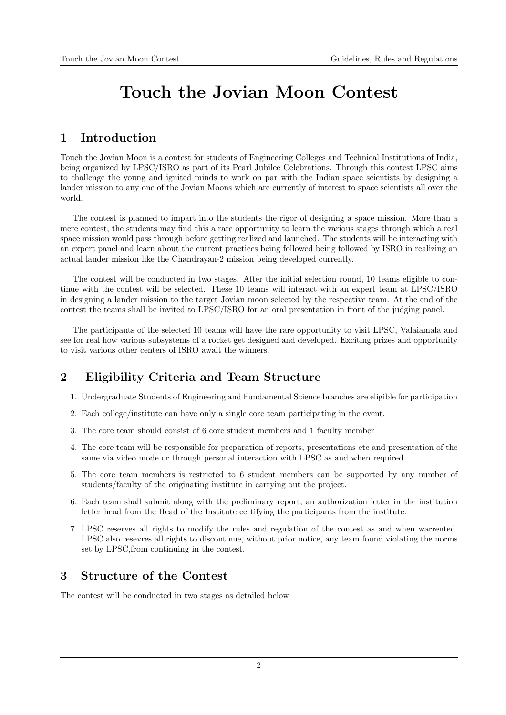# Touch the Jovian Moon Contest

### 1 Introduction

Touch the Jovian Moon is a contest for students of Engineering Colleges and Technical Institutions of India, being organized by LPSC/ISRO as part of its Pearl Jubilee Celebrations. Through this contest LPSC aims to challenge the young and ignited minds to work on par with the Indian space scientists by designing a lander mission to any one of the Jovian Moons which are currently of interest to space scientists all over the world.

The contest is planned to impart into the students the rigor of designing a space mission. More than a mere contest, the students may find this a rare opportunity to learn the various stages through which a real space mission would pass through before getting realized and launched. The students will be interacting with an expert panel and learn about the current practices being followed being followed by ISRO in realizing an actual lander mission like the Chandrayan-2 mission being developed currently.

The contest will be conducted in two stages. After the initial selection round, 10 teams eligible to continue with the contest will be selected. These 10 teams will interact with an expert team at LPSC/ISRO in designing a lander mission to the target Jovian moon selected by the respective team. At the end of the contest the teams shall be invited to LPSC/ISRO for an oral presentation in front of the judging panel.

The participants of the selected 10 teams will have the rare opportunity to visit LPSC, Valaiamala and see for real how various subsystems of a rocket get designed and developed. Exciting prizes and opportunity to visit various other centers of ISRO await the winners.

# 2 Eligibility Criteria and Team Structure

- 1. Undergraduate Students of Engineering and Fundamental Science branches are eligible for participation
- 2. Each college/institute can have only a single core team participating in the event.
- 3. The core team should consist of 6 core student members and 1 faculty member
- 4. The core team will be responsible for preparation of reports, presentations etc and presentation of the same via video mode or through personal interaction with LPSC as and when required.
- 5. The core team members is restricted to 6 student members can be supported by any number of students/faculty of the originating institute in carrying out the project.
- 6. Each team shall submit along with the preliminary report, an authorization letter in the institution letter head from the Head of the Institute certifying the participants from the institute.
- 7. LPSC reserves all rights to modify the rules and regulation of the contest as and when warrented. LPSC also resevres all rights to discontinue, without prior notice, any team found violating the norms set by LPSC,from continuing in the contest.

### 3 Structure of the Contest

The contest will be conducted in two stages as detailed below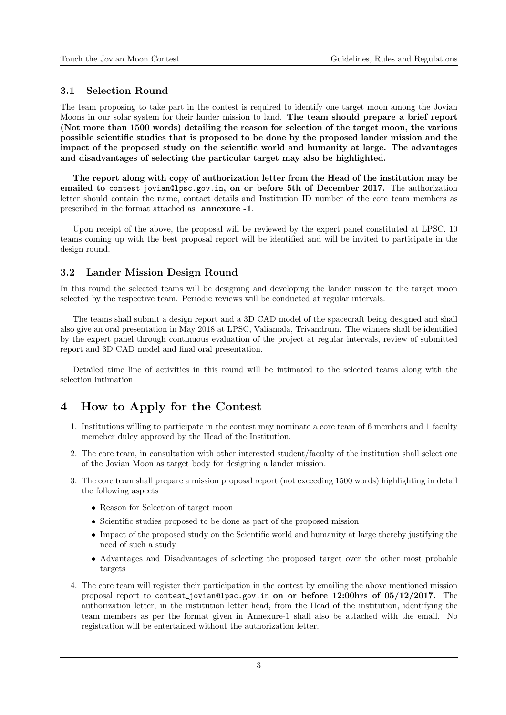#### 3.1 Selection Round

The team proposing to take part in the contest is required to identify one target moon among the Jovian Moons in our solar system for their lander mission to land. The team should prepare a brief report (Not more than 1500 words) detailing the reason for selection of the target moon, the various possible scientific studies that is proposed to be done by the proposed lander mission and the impact of the proposed study on the scientific world and humanity at large. The advantages and disadvantages of selecting the particular target may also be highlighted.

The report along with copy of authorization letter from the Head of the institution may be emailed to contest<sub>-lovian@lpsc.gov.in, on or before 5th of December 2017. The authorization</sub> letter should contain the name, contact details and Institution ID number of the core team members as prescribed in the format attached as annexure -1.

Upon receipt of the above, the proposal will be reviewed by the expert panel constituted at LPSC. 10 teams coming up with the best proposal report will be identified and will be invited to participate in the design round.

#### 3.2 Lander Mission Design Round

In this round the selected teams will be designing and developing the lander mission to the target moon selected by the respective team. Periodic reviews will be conducted at regular intervals.

The teams shall submit a design report and a 3D CAD model of the spacecraft being designed and shall also give an oral presentation in May 2018 at LPSC, Valiamala, Trivandrum. The winners shall be identified by the expert panel through continuous evaluation of the project at regular intervals, review of submitted report and 3D CAD model and final oral presentation.

Detailed time line of activities in this round will be intimated to the selected teams along with the selection intimation.

### 4 How to Apply for the Contest

- 1. Institutions willing to participate in the contest may nominate a core team of 6 members and 1 faculty memeber duley approved by the Head of the Institution.
- 2. The core team, in consultation with other interested student/faculty of the institution shall select one of the Jovian Moon as target body for designing a lander mission.
- 3. The core team shall prepare a mission proposal report (not exceeding 1500 words) highlighting in detail the following aspects
	- Reason for Selection of target moon
	- Scientific studies proposed to be done as part of the proposed mission
	- Impact of the proposed study on the Scientific world and humanity at large thereby justifying the need of such a study
	- Advantages and Disadvantages of selecting the proposed target over the other most probable targets
- 4. The core team will register their participation in the contest by emailing the above mentioned mission proposal report to contest jovian@lpsc.gov.in on or before 12:00hrs of 05/12/2017. The authorization letter, in the institution letter head, from the Head of the institution, identifying the team members as per the format given in Annexure-1 shall also be attached with the email. No registration will be entertained without the authorization letter.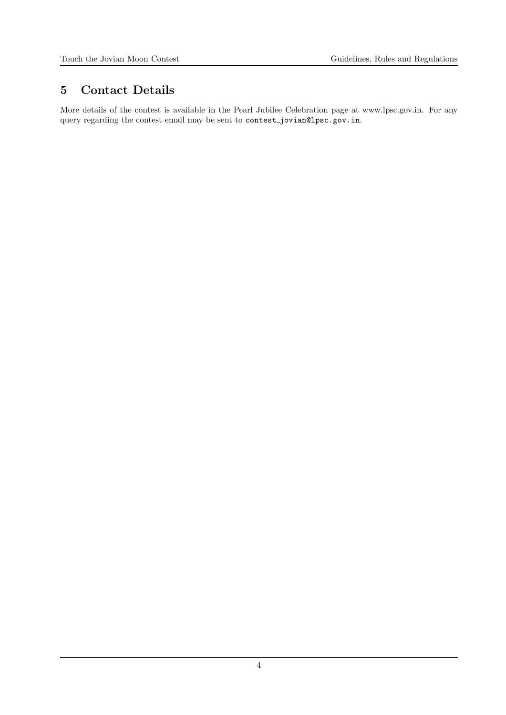### 5 Contact Details

More details of the contest is available in the Pearl Jubilee Celebration page at www.lpsc.gov.in. For any query regarding the contest email may be sent to contest jovian@lpsc.gov.in.